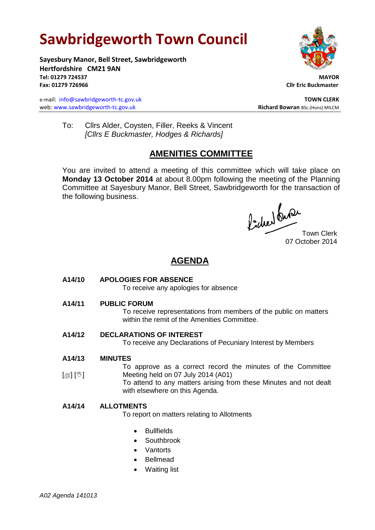# **Sawbridgeworth Town Council**

**Sayesbury Manor, Bell Street, Sawbridgeworth Hertfordshire CM21 9AN Tel: 01279 724537 MAYOR Fax: 01279 726966 Cllr Eric Buckmaster**

e-mail: [info@sawbridgeworth-tc.gov.uk](mailto:info@sawbridgeworth-tc.gov.uk) **TOWN CLERK TOWN CLERK** web: www.sawbridgeworth-tc.gov.uk<br> **Richard Bowran** BSc.(Hons) MILCM



To: Cllrs Alder, Coysten, Filler, Reeks & Vincent *[Cllrs E Buckmaster, Hodges & Richards]*

# **AMENITIES COMMITTEE**

You are invited to attend a meeting of this committee which will take place on **Monday 13 October 2014** at about 8.00pm following the meeting of the Planning Committee at Sayesbury Manor, Bell Street, Sawbridgeworth for the transaction of the following business.

fided ture

07 October 2014

## **AGENDA**

**A14/10 APOLOGIES FOR ABSENCE**

To receive any apologies for absence

**A14/11 PUBLIC FORUM**

To receive representations from members of the public on matters within the remit of the Amenities Committee.

**A14/12 DECLARATIONS OF INTEREST**

with elsewhere on this Agenda.

To receive any Declarations of Pecuniary Interest by Members

**A14/13 MINUTES**

 $[\circledast]$   $[\circledast]$ To approve as a correct record the minutes of the Committee Meeting held on 07 July 2014 (A01) To attend to any matters arising from these Minutes and not dealt

## **A14/14 ALLOTMENTS**

To report on matters relating to Allotments

- Bullfields
- **Southbrook**
- Vantorts
- Bellmead
- Waiting list